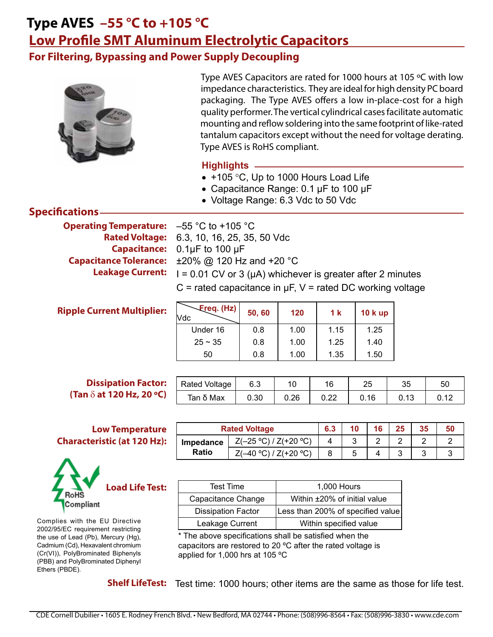**For Filtering, Bypassing and Power Supply Decoupling**



Type AVES Capacitors are rated for 1000 hours at 105 ºC with low impedance characteristics. They are ideal for high density PC board packaging. The Type AVES offers a low in-place-cost for a high quality performer. The vertical cylindrical cases facilitate automatic mounting and reflow soldering into the same footprint of like-rated tantalum capacitors except without the need for voltage derating. Type AVES is RoHS compliant.

### **Highlights**

- +105 °C, Up to 1000 Hours Load Life
- Capacitance Range: 0.1 µF to 100 µF
- Voltage Range: 6.3 Vdc to 50 Vdc

### **Specifications**

**Operating Temperature: Capacitance Tolerance: Leakage Current:**

**Ripple Current Multiplier:**

 $-55$  °C to  $+105$  °C 6.3, 10, 16, 25, 35, 50 Vdc **Rated Voltage:** Capacitance: 0.1µF to 100 µF ±20% @ 120 Hz and +20 °C  $I = 0.01$  CV or 3 ( $\mu$ A) whichever is greater after 2 minutes  $C$  = rated capacitance in  $\mu$ F, V = rated DC working voltage

| Freq. (Hz)<br>Vdc | 50,60 | 120  | 1 k  | <b>10 k up</b> |
|-------------------|-------|------|------|----------------|
| Under 16          | 0.8   | 1.00 | 1.15 | 1.25           |
| $25 \sim 35$      | 0.8   | 1.00 | 1.25 | 1.40           |
| 50                | 0.8   | 1.00 | 1.35 | 1.50           |

#### **Dissipation Factor: (Tan** d **at 120 Hz, 20 ºC)**

#### **Low Temperature Characteristic (at 120 Hz):**



Complies with the EU Directive 2002/95/EC requirement restricting the use of Lead (Pb), Mercury (Hg), Cadmium (Cd), Hexavalent chromium (Cr(VI)), PolyBrominated Biphenyls (PBB) and PolyBrominated Diphenyl Ethers (PBDE).

| <b>Rated Voltage</b> | 6.3 |                          | 16                       | 25 <sub>2</sub> | 35                       | 50 |
|----------------------|-----|--------------------------|--------------------------|-----------------|--------------------------|----|
|                      |     | $\overline{\phantom{0}}$ | $\overline{\phantom{0}}$ | $\sim$          | $\overline{\phantom{0}}$ | -  |

Rated Voltage | 6.3 | 10 | 16 | 25 | 35 | 50 Tan δ Max | 0.30 | 0.26 | 0.22 | 0.16 | 0.13 | 0.12

| Impedance |  |  |  |  |
|-----------|--|--|--|--|
| Ratio     |  |  |  |  |

| <b>Test Time</b>          | 1,000 Hours                       |
|---------------------------|-----------------------------------|
| Capacitance Change        | Within ±20% of initial value      |
| <b>Dissipation Factor</b> | Less than 200% of specified value |
| Leakage Current           | Within specified value            |

\* The above specifications shall be satisfied when the capacitors are restored to 20 ºC after the rated voltage is applied for 1,000 hrs at 105 ºC

Shelf LifeTest: Test time: 1000 hours; other items are the same as those for life test.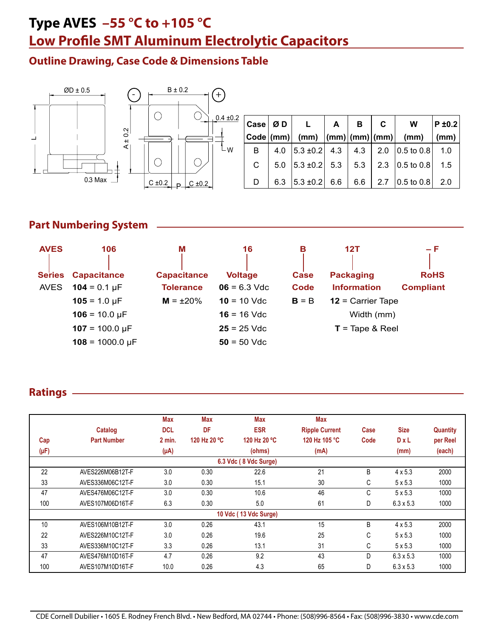### **Outline Drawing, Case Code & Dimensions Table**



|    | Case $\varnothing$ D | $\mathbf{L}$                            | $\mathbf{A}$ | B   | C | W                                            | $P \pm 0.2$ |
|----|----------------------|-----------------------------------------|--------------|-----|---|----------------------------------------------|-------------|
|    |                      | Code $ (mm) $ $(mm)$ $ (mm) (mm) (mm) $ |              |     |   | (mm)                                         |             |
| B. | 4.0                  |                                         |              |     |   | $ 5.3 \pm 0.2 $ 4.3 4.3 2.0 0.5 to 0.8       | 1.0         |
| C. | 5.0                  |                                         |              |     |   | $ 5.3 \pm 0.2 $ 5.3   5.3   2.3   0.5 to 0.8 | 1.5         |
|    | 6.3                  | $ 5.3 \pm 0.2 $ 6.6                     |              | 6.6 |   | 2.7 $ 0.5 \text{ to } 0.8 $                  | 2.0         |

## **Part Numbering System**

| <b>AVES</b>                  | 106                                       | Μ                                      | 16                               | в            | 12T                                    | $-F$                            |
|------------------------------|-------------------------------------------|----------------------------------------|----------------------------------|--------------|----------------------------------------|---------------------------------|
| <b>Series</b><br><b>AVES</b> | <b>Capacitance</b><br>$104 = 0.1 \,\mu F$ | <b>Capacitance</b><br><b>Tolerance</b> | <b>Voltage</b><br>$06 = 6.3$ Vdc | Case<br>Code | <b>Packaging</b><br><b>Information</b> | <b>RoHS</b><br><b>Compliant</b> |
|                              | $105 = 1.0 \mu F$                         | $M = \pm 20\%$                         | $10 = 10$ Vdc                    | $B = B$      | $12$ = Carrier Tape                    |                                 |
|                              | $106 = 10.0 \,\mu F$                      |                                        | $16 = 16$ Vdc                    |              | Width (mm)                             |                                 |
|                              | $107 = 100.0 \,\mu F$                     |                                        | $25 = 25$ Vdc                    |              | $T = \text{Tape } 8 \text{ Reel}$      |                                 |
|                              | $108 = 1000.0 \text{ µF}$                 |                                        | $50 = 50$ Vdc                    |              |                                        |                                 |

#### **Ratings**

|           |                    | Max        | Max          | <b>Max</b>            | <b>Max</b>            |      |                  |                 |
|-----------|--------------------|------------|--------------|-----------------------|-----------------------|------|------------------|-----------------|
|           | Catalog            | <b>DCL</b> | DF           | <b>ESR</b>            | <b>Ripple Current</b> | Case | <b>Size</b>      | <b>Quantity</b> |
| Cap       | <b>Part Number</b> | $2$ min.   | 120 Hz 20 °C | 120 Hz 20 °C          | 120 Hz 105 °C         | Code | $D \times L$     | per Reel        |
| $(\mu F)$ |                    | $(\mu A)$  |              | (ohms)                | (mA)                  |      | (mm)             | (each)          |
|           |                    |            |              | 6.3 Vdc (8 Vdc Surge) |                       |      |                  |                 |
| 22        | AVES226M06B12T-F   | 3.0        | 0.30         | 22.6                  | 21                    | B    | $4 \times 5.3$   | 2000            |
| 33        | AVES336M06C12T-F   | 3.0        | 0.30         | 15.1                  | 30                    | C    | $5 \times 5.3$   | 1000            |
| 47        | AVES476M06C12T-F   | 3.0        | 0.30         | 10.6                  | 46                    | C    | $5 \times 5.3$   | 1000            |
| 100       | AVES107M06D16T-F   | 6.3        | 0.30         | 5.0                   | 61                    | D    | $6.3 \times 5.3$ | 1000            |
|           |                    |            |              | 10 Vdc (13 Vdc Surge) |                       |      |                  |                 |
| 10        | AVES106M10B12T-F   | 3.0        | 0.26         | 43.1                  | 15                    | B    | $4 \times 5.3$   | 2000            |
| 22        | AVES226M10C12T-F   | 3.0        | 0.26         | 19.6                  | 25                    | С    | $5 \times 5.3$   | 1000            |
| 33        | AVES336M10C12T-F   | 3.3        | 0.26         | 13.1                  | 31                    | С    | $5 \times 5.3$   | 1000            |
| 47        | AVES476M10D16T-F   | 4.7        | 0.26         | 9.2                   | 43                    | D    | $6.3 \times 5.3$ | 1000            |
| 100       | AVES107M10D16T-F   | 10.0       | 0.26         | 4.3                   | 65                    | D    | $6.3 \times 5.3$ | 1000            |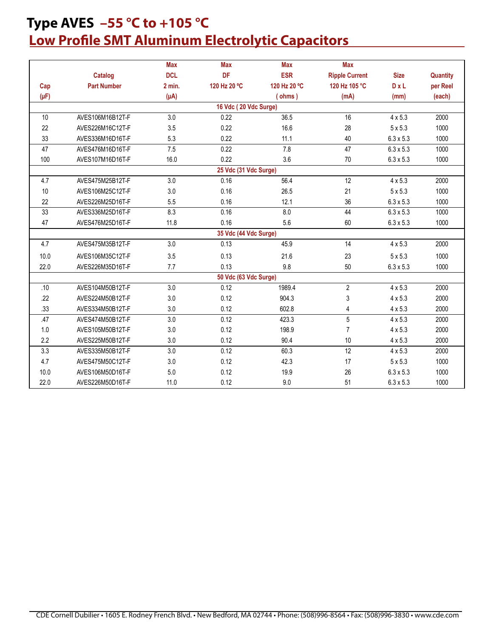|           |                    | <b>Max</b> | <b>Max</b>            | <b>Max</b>   | <b>Max</b>            |                  |          |
|-----------|--------------------|------------|-----------------------|--------------|-----------------------|------------------|----------|
|           | Catalog            | <b>DCL</b> | DF                    | <b>ESR</b>   | <b>Ripple Current</b> | <b>Size</b>      | Quantity |
| Cap       | <b>Part Number</b> | $2$ min.   | 120 Hz 20 °C          | 120 Hz 20 °C | 120 Hz 105 °C         | D x L            | per Reel |
| $(\mu F)$ |                    | $(\mu A)$  |                       | (ohms)       | (mA)                  | (mm)             | (each)   |
|           |                    |            | 16 Vdc (20 Vdc Surge) |              |                       |                  |          |
| 10        | AVES106M16B12T-F   | 3.0        | 0.22                  | 36.5         | 16                    | $4 \times 5.3$   | 2000     |
| 22        | AVES226M16C12T-F   | 3.5        | 0.22                  | 16.6         | 28                    | $5 \times 5.3$   | 1000     |
| 33        | AVES336M16D16T-F   | 5.3        | 0.22                  | 11.1         | 40                    | $6.3 \times 5.3$ | 1000     |
| 47        | AVES476M16D16T-F   | 7.5        | 0.22                  | 7.8          | 47                    | $6.3 \times 5.3$ | 1000     |
| 100       | AVES107M16D16T-F   | 16.0       | 0.22                  | 3.6          | 70                    | $6.3 \times 5.3$ | 1000     |
|           |                    |            | 25 Vdc (31 Vdc Surge) |              |                       |                  |          |
| 4.7       | AVES475M25B12T-F   | 3.0        | 0.16                  | 56.4         | 12                    | $4 \times 5.3$   | 2000     |
| 10        | AVES106M25C12T-F   | 3.0        | 0.16                  | 26.5         | 21                    | $5 \times 5.3$   | 1000     |
| 22        | AVES226M25D16T-F   | 5.5        | 0.16                  | 12.1         | 36                    | $6.3 \times 5.3$ | 1000     |
| 33        | AVES336M25D16T-F   | 8.3        | 0.16                  | 8.0          | 44                    | $6.3 \times 5.3$ | 1000     |
| 47        | AVES476M25D16T-F   | 11.8       | 0.16                  | 5.6          | 60                    | $6.3 \times 5.3$ | 1000     |
|           |                    |            | 35 Vdc (44 Vdc Surge) |              |                       |                  |          |
| 4.7       | AVES475M35B12T-F   | 3.0        | 0.13                  | 45.9         | 14                    | $4 \times 5.3$   | 2000     |
| 10.0      | AVES106M35C12T-F   | 3.5        | 0.13                  | 21.6         | 23                    | $5 \times 5.3$   | 1000     |
| 22.0      | AVES226M35D16T-F   | 7.7        | 0.13                  | 9.8          | 50                    | $6.3 \times 5.3$ | 1000     |
|           |                    |            | 50 Vdc (63 Vdc Surge) |              |                       |                  |          |
| .10       | AVES104M50B12T-F   | 3.0        | 0.12                  | 1989.4       | $\overline{2}$        | $4 \times 5.3$   | 2000     |
| .22       | AVES224M50B12T-F   | 3.0        | 0.12                  | 904.3        | 3                     | $4 \times 5.3$   | 2000     |
| .33       | AVES334M50B12T-F   | 3.0        | 0.12                  | 602.8        | 4                     | $4 \times 5.3$   | 2000     |
| .47       | AVES474M50B12T-F   | 3.0        | 0.12                  | 423.3        | 5                     | $4 \times 5.3$   | 2000     |
| 1.0       | AVES105M50B12T-F   | 3.0        | 0.12                  | 198.9        | $\overline{7}$        | $4 \times 5.3$   | 2000     |
| 2.2       | AVES225M50B12T-F   | 3.0        | 0.12                  | 90.4         | $10$                  | $4 \times 5.3$   | 2000     |
| 3.3       | AVES335M50B12T-F   | 3.0        | 0.12                  | 60.3         | 12                    | $4 \times 5.3$   | 2000     |
| 4.7       | AVES475M50C12T-F   | 3.0        | 0.12                  | 42.3         | 17                    | $5 \times 5.3$   | 1000     |
| 10.0      | AVES106M50D16T-F   | 5.0        | 0.12                  | 19.9         | 26                    | $6.3 \times 5.3$ | 1000     |
| 22.0      | AVES226M50D16T-F   | 11.0       | 0.12                  | 9.0          | 51                    | $6.3 \times 5.3$ | 1000     |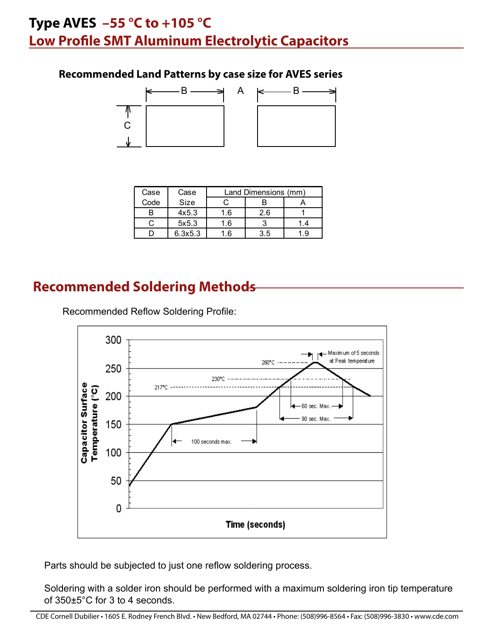## **Recommended Land Patterns by case size for AVES series**



| Case | Case    |     | Land Dimensions (mm) |     |
|------|---------|-----|----------------------|-----|
| Code | Size    |     |                      |     |
| B    | 4x5.3   | 1.6 | 2.6                  |     |
| ◡    | 5x5.3   | 1.6 |                      | 1.4 |
|      | 6.3x5.3 | 1.6 | 3.5                  | 1.9 |

## **Recommended Soldering Methods**

Recommended Reflow Soldering Profile:



Parts should be subjected to just one reflow soldering process.

Soldering with a solder iron should be performed with a maximum soldering iron tip temperature of 350±5°C for 3 to 4 seconds.

CDE Cornell Dubilier • 1605 E. Rodney French Blvd. • New Bedford, MA 02744 • Phone: (508)996-8564 • Fax: (508)996-3830 • www.cde.com